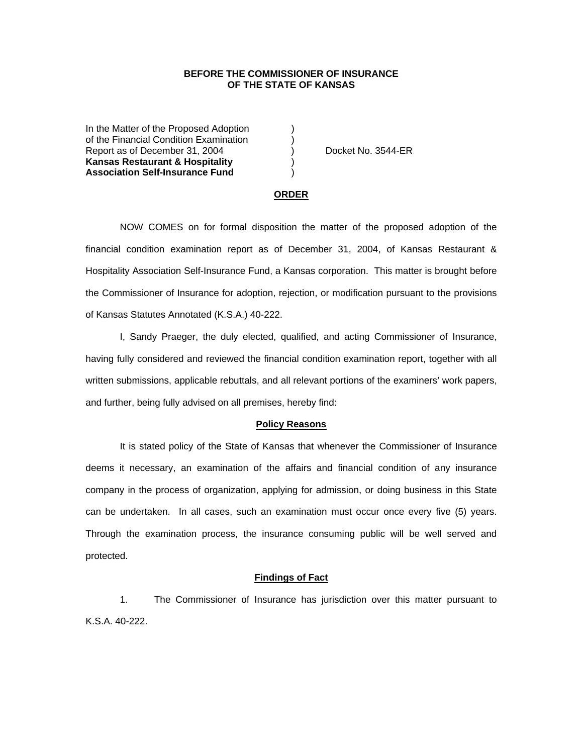# **BEFORE THE COMMISSIONER OF INSURANCE OF THE STATE OF KANSAS**

In the Matter of the Proposed Adoption of the Financial Condition Examination ) Report as of December 31, 2004 (a) Docket No. 3544-ER **Kansas Restaurant & Hospitality** ) **Association Self-Insurance Fund** )

### **ORDER**

 NOW COMES on for formal disposition the matter of the proposed adoption of the financial condition examination report as of December 31, 2004, of Kansas Restaurant & Hospitality Association Self-Insurance Fund, a Kansas corporation. This matter is brought before the Commissioner of Insurance for adoption, rejection, or modification pursuant to the provisions of Kansas Statutes Annotated (K.S.A.) 40-222.

 I, Sandy Praeger, the duly elected, qualified, and acting Commissioner of Insurance, having fully considered and reviewed the financial condition examination report, together with all written submissions, applicable rebuttals, and all relevant portions of the examiners' work papers, and further, being fully advised on all premises, hereby find:

### **Policy Reasons**

 It is stated policy of the State of Kansas that whenever the Commissioner of Insurance deems it necessary, an examination of the affairs and financial condition of any insurance company in the process of organization, applying for admission, or doing business in this State can be undertaken. In all cases, such an examination must occur once every five (5) years. Through the examination process, the insurance consuming public will be well served and protected.

## **Findings of Fact**

 1. The Commissioner of Insurance has jurisdiction over this matter pursuant to K.S.A. 40-222.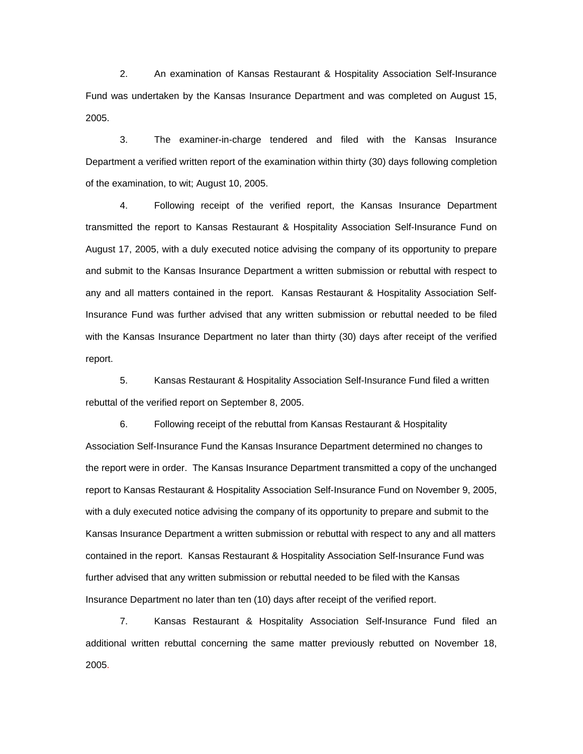2. An examination of Kansas Restaurant & Hospitality Association Self-Insurance Fund was undertaken by the Kansas Insurance Department and was completed on August 15, 2005.

 3. The examiner-in-charge tendered and filed with the Kansas Insurance Department a verified written report of the examination within thirty (30) days following completion of the examination, to wit; August 10, 2005.

 4. Following receipt of the verified report, the Kansas Insurance Department transmitted the report to Kansas Restaurant & Hospitality Association Self-Insurance Fund on August 17, 2005, with a duly executed notice advising the company of its opportunity to prepare and submit to the Kansas Insurance Department a written submission or rebuttal with respect to any and all matters contained in the report. Kansas Restaurant & Hospitality Association Self-Insurance Fund was further advised that any written submission or rebuttal needed to be filed with the Kansas Insurance Department no later than thirty (30) days after receipt of the verified report.

 5. Kansas Restaurant & Hospitality Association Self-Insurance Fund filed a written rebuttal of the verified report on September 8, 2005.

 6. Following receipt of the rebuttal from Kansas Restaurant & Hospitality Association Self-Insurance Fund the Kansas Insurance Department determined no changes to the report were in order. The Kansas Insurance Department transmitted a copy of the unchanged report to Kansas Restaurant & Hospitality Association Self-Insurance Fund on November 9, 2005, with a duly executed notice advising the company of its opportunity to prepare and submit to the Kansas Insurance Department a written submission or rebuttal with respect to any and all matters contained in the report. Kansas Restaurant & Hospitality Association Self-Insurance Fund was further advised that any written submission or rebuttal needed to be filed with the Kansas Insurance Department no later than ten (10) days after receipt of the verified report.

 7. Kansas Restaurant & Hospitality Association Self-Insurance Fund filed an additional written rebuttal concerning the same matter previously rebutted on November 18, 2005.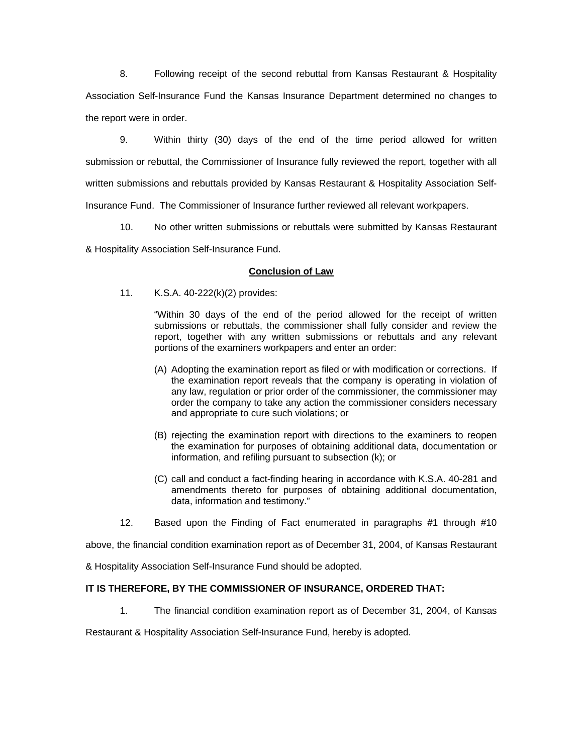8. Following receipt of the second rebuttal from Kansas Restaurant & Hospitality Association Self-Insurance Fund the Kansas Insurance Department determined no changes to the report were in order.

9. Within thirty (30) days of the end of the time period allowed for written submission or rebuttal, the Commissioner of Insurance fully reviewed the report, together with all written submissions and rebuttals provided by Kansas Restaurant & Hospitality Association Self-Insurance Fund. The Commissioner of Insurance further reviewed all relevant workpapers.

10. No other written submissions or rebuttals were submitted by Kansas Restaurant

& Hospitality Association Self-Insurance Fund.

# **Conclusion of Law**

11. K.S.A. 40-222(k)(2) provides:

"Within 30 days of the end of the period allowed for the receipt of written submissions or rebuttals, the commissioner shall fully consider and review the report, together with any written submissions or rebuttals and any relevant portions of the examiners workpapers and enter an order:

- (A) Adopting the examination report as filed or with modification or corrections. If the examination report reveals that the company is operating in violation of any law, regulation or prior order of the commissioner, the commissioner may order the company to take any action the commissioner considers necessary and appropriate to cure such violations; or
- (B) rejecting the examination report with directions to the examiners to reopen the examination for purposes of obtaining additional data, documentation or information, and refiling pursuant to subsection (k); or
- (C) call and conduct a fact-finding hearing in accordance with K.S.A. 40-281 and amendments thereto for purposes of obtaining additional documentation, data, information and testimony."
- 12. Based upon the Finding of Fact enumerated in paragraphs #1 through #10

above, the financial condition examination report as of December 31, 2004, of Kansas Restaurant

& Hospitality Association Self-Insurance Fund should be adopted.

# **IT IS THEREFORE, BY THE COMMISSIONER OF INSURANCE, ORDERED THAT:**

1. The financial condition examination report as of December 31, 2004, of Kansas

Restaurant & Hospitality Association Self-Insurance Fund, hereby is adopted.